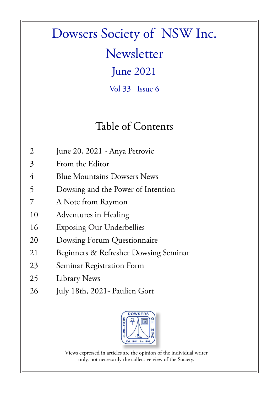# Dowsers Society of NSW Inc.

**Newsletter** 

June 2021

Vol 33 Issue 6

### Table of Contents

- 2 June 20, 2021 Anya Petrovic
- 3 From the Editor
- 4 Blue Mountains Dowsers News
- 5 Dowsing and the Power of Intention
- 7 A Note from Raymon
- 10 Adventures in Healing
- 16 Exposing Our Underbellies
- 20 Dowsing Forum Questionnaire
- 21 Beginners & Refresher Dowsing Seminar
- 23 Seminar Registration Form
- 25 Library News
- 26 July 18th, 2021- Paulien Gort



Views expressed in articles are the opinion of the individual writer only, not necessarily the collective view of the Society.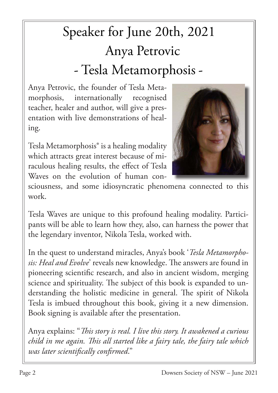# Speaker for June 20th, 2021 Anya Petrovic - Tesla Metamorphosis -

Anya Petrovic, the founder of Tesla Metamorphosis, internationally recognised teacher, healer and author, will give a presentation with live demonstrations of healing.

Tesla Metamorphosis® is a healing modality which attracts great interest because of miraculous healing results, the effect of Tesla Waves on the evolution of human con-



sciousness, and some idiosyncratic phenomena connected to this work.

Tesla Waves are unique to this profound healing modality. Participants will be able to learn how they, also, can harness the power that the legendary inventor, Nikola Tesla, worked with.

In the quest to understand miracles, Anya's book '*Tesla Metamorphosis: Heal and Evolve*' reveals new knowledge. The answers are found in pioneering scientific research, and also in ancient wisdom, merging science and spirituality. The subject of this book is expanded to understanding the holistic medicine in general. The spirit of Nikola Tesla is imbued throughout this book, giving it a new dimension. Book signing is available after the presentation.

Anya explains: "*This story is real. I live this story. It awakened a curious child in me again. This all started like a fairy tale, the fairy tale which was later scientifically confirmed*."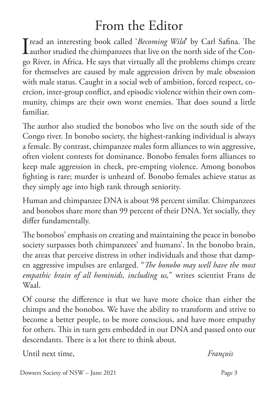### From the Editor

I read an interesting book called '*Becoming Wild*' by Carl Safina. The author studied the chimpanzees that live on the north side of the Conauthor studied the chimpanzees that live on the north side of the Congo River, in Africa. He says that virtually all the problems chimps create for themselves are caused by male aggression driven by male obsession with male status. Caught in a social web of ambition, forced respect, coercion, inter-group conflict, and episodic violence within their own community, chimps are their own worst enemies. That does sound a little familiar.

The author also studied the bonobos who live on the south side of the Congo river. In bonobo society, the highest-ranking individual is always a female. By contrast, chimpanzee males form alliances to win aggressive, often violent contests for dominance. Bonobo females form alliances to keep male aggression in check, pre-empting violence. Among bonobos fighting is rare; murder is unheard of. Bonobo females achieve status as they simply age into high rank through seniority.

Human and chimpanzee DNA is about 98 percent similar. Chimpanzees and bonobos share more than 99 percent of their DNA. Yet socially, they differ fundamentally.

The bonobos' emphasis on creating and maintaining the peace in bonobo society surpasses both chimpanzees' and humans'. In the bonobo brain, the areas that perceive distress in other individuals and those that dampen aggressive impulses are enlarged. "*The bonobo may well have the most empathic brain of all hominids, including us,*" writes scientist Frans de Waal.

Of course the difference is that we have more choice than either the chimps and the bonobos. We have the ability to transform and strive to become a better people, to be more conscious, and have more empathy for others. This in turn gets embedded in our DNA and passed onto our descendants. There is a lot there to think about.

Until next time, *François*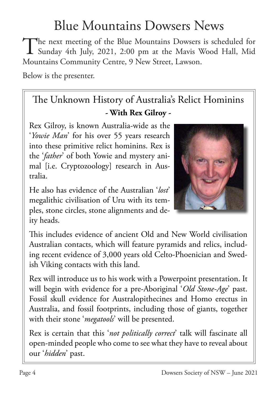### Blue Mountains Dowsers News

The next meeting of the Blue Mountains Dowsers is scheduled for<br>Sunday 4th July, 2021, 2:00 pm at the Mavis Wood Hall, Mid Sunday 4th July, 2021, 2:00 pm at the Mavis Wood Hall, Mid Mountains Community Centre, 9 New Street, Lawson.

Below is the presenter.

#### The Unknown History of Australia's Relict Hominins **- With Rex Gilroy -**

 Rex Gilroy, is known Australia-wide as the '*Yowie Man*' for his over 55 years research into these primitive relict hominins. Rex is the '*father*' of both Yowie and mystery animal [i.e. Cryptozoology] research in Australia.

He also has evidence of the Australian '*lost*' megalithic civilisation of Uru with its temples, stone circles, stone alignments and deity heads.



This includes evidence of ancient Old and New World civilisation Australian contacts, which will feature pyramids and relics, including recent evidence of 3,000 years old Celto-Phoenician and Swedish Viking contacts with this land.

Rex will introduce us to his work with a Powerpoint presentation. It will begin with evidence for a pre-Aboriginal '*Old Stone-Age*' past. Fossil skull evidence for Australopithecines and Homo erectus in Australia, and fossil footprints, including those of giants, together with their stone '*megatools*' will be presented.

Rex is certain that this '*not politically correct*' talk will fascinate all open-minded people who come to see what they have to reveal about our '*hidden*' past.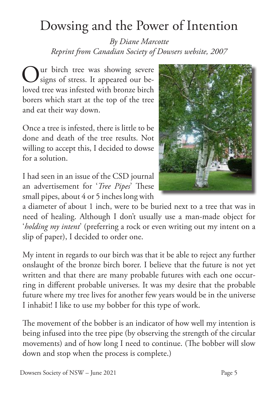### Dowsing and the Power of Intention

*By Diane Marcotte Reprint from Canadian Society of Dowsers website, 2007*

Our birch tree was showing severe<br>
Signs of stress. It appeared our besigns of stress. It appeared our beloved tree was infested with bronze birch borers which start at the top of the tree and eat their way down.

Once a tree is infested, there is little to be done and death of the tree results. Not willing to accept this, I decided to dowse for a solution.

I had seen in an issue of the CSD journal an advertisement for '*Tree Pipes*' These small pipes, about 4 or 5 inches long with

a diameter of about 1 inch, were to be buried next to a tree that was in need of healing. Although I don't usually use a man-made object for '*holding my intent*' (preferring a rock or even writing out my intent on a slip of paper), I decided to order one.

My intent in regards to our birch was that it be able to reject any further onslaught of the bronze birch borer. I believe that the future is not yet written and that there are many probable futures with each one occurring in different probable universes. It was my desire that the probable future where my tree lives for another few years would be in the universe I inhabit! I like to use my bobber for this type of work.

The movement of the bobber is an indicator of how well my intention is being infused into the tree pipe (by observing the strength of the circular movements) and of how long I need to continue. (The bobber will slow down and stop when the process is complete.)

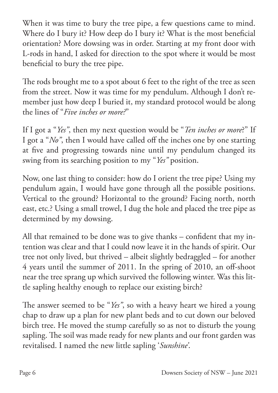When it was time to bury the tree pipe, a few questions came to mind. Where do I bury it? How deep do I bury it? What is the most beneficial orientation? More dowsing was in order. Starting at my front door with L-rods in hand, I asked for direction to the spot where it would be most beneficial to bury the tree pipe.

The rods brought me to a spot about 6 feet to the right of the tree as seen from the street. Now it was time for my pendulum. Although I don't remember just how deep I buried it, my standard protocol would be along the lines of "*Five inches or more?*"

If I got a "*Yes"*, then my next question would be "*Ten inches or more*?" If I got a "*No"*, then I would have called off the inches one by one starting at five and progressing towards nine until my pendulum changed its swing from its searching position to my "*Yes"* position.

Now, one last thing to consider: how do I orient the tree pipe? Using my pendulum again, I would have gone through all the possible positions. Vertical to the ground? Horizontal to the ground? Facing north, north east, etc.? Using a small trowel, I dug the hole and placed the tree pipe as determined by my dowsing.

All that remained to be done was to give thanks – confident that my intention was clear and that I could now leave it in the hands of spirit. Our tree not only lived, but thrived – albeit slightly bedraggled – for another 4 years until the summer of 2011. In the spring of 2010, an off-shoot near the tree sprang up which survived the following winter. Was this little sapling healthy enough to replace our existing birch?

The answer seemed to be "*Yes"*, so with a heavy heart we hired a young chap to draw up a plan for new plant beds and to cut down our beloved birch tree. He moved the stump carefully so as not to disturb the young sapling. The soil was made ready for new plants and our front garden was revitalised. I named the new little sapling '*Sunshine'*.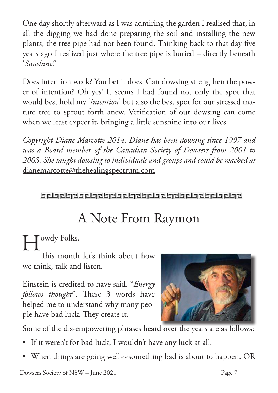One day shortly afterward as I was admiring the garden I realised that, in all the digging we had done preparing the soil and installing the new plants, the tree pipe had not been found. Thinking back to that day five years ago I realized just where the tree pipe is buried – directly beneath '*Sunshine*!'

Does intention work? You bet it does! Can dowsing strengthen the power of intention? Oh yes! It seems I had found not only the spot that would best hold my '*intention*' but also the best spot for our stressed mature tree to sprout forth anew. Verification of our dowsing can come when we least expect it, bringing a little sunshine into our lives.

*Copyright Diane Marcotte 2014. Diane has been dowsing since 1997 and was a Board member of the Canadian Society of Dowsers from 2001 to 2003. She taught dowsing to individuals and groups and could be reached at*  dianemarcotte@thehealingspectrum.com

**Gelselae Gelselae Gelselae Gelselae Gelselae Gelsela** 

### A Note From Raymon

# $\prod$ owdy Folks,

This month let's think about how we think, talk and listen.

Einstein is credited to have said. "*Energy follows thought*". These 3 words have helped me to understand why many people have bad luck. They create it.



Some of the dis-empowering phrases heard over the years are as follows;

- If it weren't for bad luck, I wouldn't have any luck at all.
- When things are going well--something bad is about to happen. OR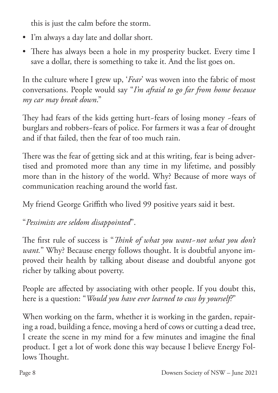this is just the calm before the storm.

- I'm always a day late and dollar short.
- There has always been a hole in my prosperity bucket. Every time I save a dollar, there is something to take it. And the list goes on.

In the culture where I grew up, '*Fear*' was woven into the fabric of most conversations. People would say "*I'm afraid to go far from home because my car may break down*."

They had fears of the kids getting hurt~fears of losing money ~fears of burglars and robbers~fears of police. For farmers it was a fear of drought and if that failed, then the fear of too much rain.

There was the fear of getting sick and at this writing, fear is being advertised and promoted more than any time in my lifetime, and possibly more than in the history of the world. Why? Because of more ways of communication reaching around the world fast.

My friend George Griffith who lived 99 positive years said it best.

"*Pessimists are seldom disappointed*".

The first rule of success is "*Think of what you want~not what you don't want.*" Why? Because energy follows thought. It is doubtful anyone improved their health by talking about disease and doubtful anyone got richer by talking about poverty.

People are affected by associating with other people. If you doubt this, here is a question: "*Would you have ever learned to cuss by yourself?*"

When working on the farm, whether it is working in the garden, repairing a road, building a fence, moving a herd of cows or cutting a dead tree, I create the scene in my mind for a few minutes and imagine the final product. I get a lot of work done this way because I believe Energy Follows Thought.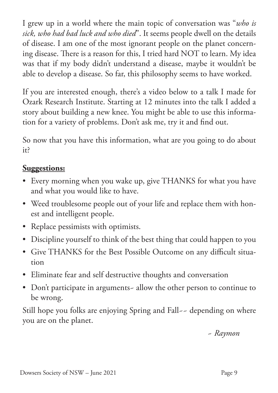I grew up in a world where the main topic of conversation was "*who is sick, who had bad luck and who died*". It seems people dwell on the details of disease. I am one of the most ignorant people on the planet concerning disease. There is a reason for this, I tried hard NOT to learn. My idea was that if my body didn't understand a disease, maybe it wouldn't be able to develop a disease. So far, this philosophy seems to have worked.

If you are interested enough, there's a video below to a talk I made for Ozark Research Institute. Starting at 12 minutes into the talk I added a story about building a new knee. You might be able to use this information for a variety of problems. Don't ask me, try it and find out.

So now that you have this information, what are you going to do about it?

#### **Suggestions:**

- Every morning when you wake up, give THANKS for what you have and what you would like to have.
- Weed troublesome people out of your life and replace them with honest and intelligent people.
- Replace pessimists with optimists.
- Discipline yourself to think of the best thing that could happen to you
- • Give THANKS for the Best Possible Outcome on any difficult situation
- • Eliminate fear and self destructive thoughts and conversation
- Don't participate in arguments- allow the other person to continue to be wrong.

Still hope you folks are enjoying Spring and Fall-- depending on where you are on the planet.

 *~ Raymon*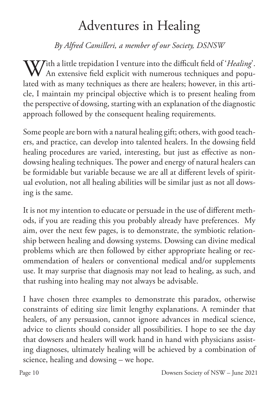### Adventures in Healing

#### *By Alfred Camilleri, a member of our Society, DSNSW*

With a little trepidation I venture into the difficult field of '*Healing*'. An extensive field explicit with numerous techniques and populated with as many techniques as there are healers; however, in this article, I maintain my principal objective which is to present healing from the perspective of dowsing, starting with an explanation of the diagnostic approach followed by the consequent healing requirements.

Some people are born with a natural healing gift; others, with good teachers, and practice, can develop into talented healers. In the dowsing field healing procedures are varied, interesting, but just as effective as nondowsing healing techniques. The power and energy of natural healers can be formidable but variable because we are all at different levels of spiritual evolution, not all healing abilities will be similar just as not all dowsing is the same.

It is not my intention to educate or persuade in the use of different methods, if you are reading this you probably already have preferences. My aim, over the next few pages, is to demonstrate, the symbiotic relationship between healing and dowsing systems. Dowsing can divine medical problems which are then followed by either appropriate healing or recommendation of healers or conventional medical and/or supplements use. It may surprise that diagnosis may not lead to healing, as such, and that rushing into healing may not always be advisable.

I have chosen three examples to demonstrate this paradox, otherwise constraints of editing size limit lengthy explanations. A reminder that healers, of any persuasion, cannot ignore advances in medical science, advice to clients should consider all possibilities. I hope to see the day that dowsers and healers will work hand in hand with physicians assisting diagnoses, ultimately healing will be achieved by a combination of science, healing and dowsing – we hope.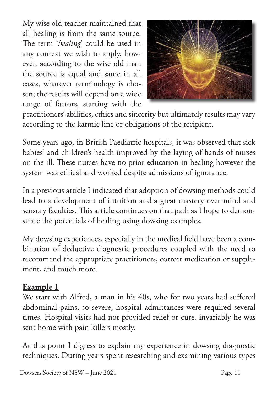My wise old teacher maintained that all healing is from the same source. The term '*healing*' could be used in any context we wish to apply, however, according to the wise old man the source is equal and same in all cases, whatever terminology is chosen; the results will depend on a wide range of factors, starting with the



practitioners' abilities, ethics and sincerity but ultimately results may vary according to the karmic line or obligations of the recipient.

Some years ago, in British Paediatric hospitals, it was observed that sick babies' and children's health improved by the laying of hands of nurses on the ill. These nurses have no prior education in healing however the system was ethical and worked despite admissions of ignorance.

In a previous article I indicated that adoption of dowsing methods could lead to a development of intuition and a great mastery over mind and sensory faculties. This article continues on that path as I hope to demonstrate the potentials of healing using dowsing examples.

My dowsing experiences, especially in the medical field have been a combination of deductive diagnostic procedures coupled with the need to recommend the appropriate practitioners, correct medication or supplement, and much more.

#### **Example 1**

We start with Alfred, a man in his 40s, who for two years had suffered abdominal pains, so severe, hospital admittances were required several times. Hospital visits had not provided relief or cure, invariably he was sent home with pain killers mostly.

At this point I digress to explain my experience in dowsing diagnostic techniques. During years spent researching and examining various types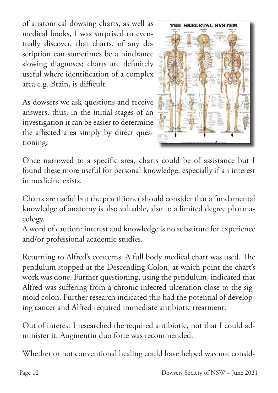of anatomical dowsing charts, as well as medical books, I was surprised to eventually discover, that charts, of any description can sometimes be a hindrance slowing diagnoses; charts are definitely useful where identification of a complex area e.g. Brain, is difficult.

As dowsers we ask questions and receive answers, thus, in the initial stages of an investigation it can be easier to determine the affected area simply by direct questioning.



Once narrowed to a specific area, charts could be of assistance but I found these more useful for personal knowledge, especially if an interest in medicine exists.

Charts are useful but the practitioner should consider that a fundamental knowledge of anatomy is also valuable, also to a limited degree pharmacology.

A word of caution: interest and knowledge is no substitute for experience and/or professional academic studies.

Returning to Alfred's concerns. A full body medical chart was used. The pendulum stopped at the Descending Colon, at which point the chart's work was done. Further questioning, using the pendulum, indicated that Alfred was suffering from a chronic infected ulceration close to the sigmoid colon. Further research indicated this had the potential of developing cancer and Alfred required immediate antibiotic treatment.

Out of interest I researched the required antibiotic, not that I could administer it, Augmentin duo forte was recommended.

Whether or not conventional healing could have helped was not consid-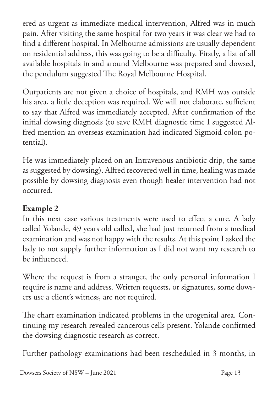ered as urgent as immediate medical intervention, Alfred was in much pain. After visiting the same hospital for two years it was clear we had to find a different hospital. In Melbourne admissions are usually dependent on residential address, this was going to be a difficulty. Firstly, a list of all available hospitals in and around Melbourne was prepared and dowsed, the pendulum suggested The Royal Melbourne Hospital.

Outpatients are not given a choice of hospitals, and RMH was outside his area, a little deception was required. We will not elaborate, sufficient to say that Alfred was immediately accepted. After confirmation of the initial dowsing diagnosis (to save RMH diagnostic time I suggested Alfred mention an overseas examination had indicated Sigmoid colon potential).

He was immediately placed on an Intravenous antibiotic drip, the same as suggested by dowsing). Alfred recovered well in time, healing was made possible by dowsing diagnosis even though healer intervention had not occurred.

#### **Example 2**

In this next case various treatments were used to effect a cure. A lady called Yolande, 49 years old called, she had just returned from a medical examination and was not happy with the results. At this point I asked the lady to not supply further information as I did not want my research to be influenced.

Where the request is from a stranger, the only personal information I require is name and address. Written requests, or signatures, some dowsers use a client's witness, are not required.

The chart examination indicated problems in the urogenital area. Continuing my research revealed cancerous cells present. Yolande confirmed the dowsing diagnostic research as correct.

Further pathology examinations had been rescheduled in 3 months, in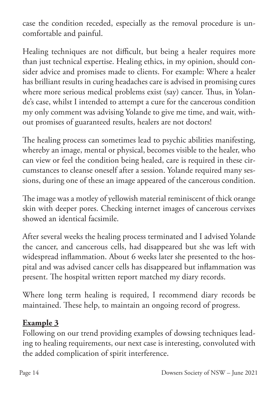case the condition receded, especially as the removal procedure is uncomfortable and painful.

Healing techniques are not difficult, but being a healer requires more than just technical expertise. Healing ethics, in my opinion, should consider advice and promises made to clients. For example: Where a healer has brilliant results in curing headaches care is advised in promising cures where more serious medical problems exist (say) cancer. Thus, in Yolande's case, whilst I intended to attempt a cure for the cancerous condition my only comment was advising Yolande to give me time, and wait, without promises of guaranteed results, healers are not doctors!

The healing process can sometimes lead to psychic abilities manifesting, whereby an image, mental or physical, becomes visible to the healer, who can view or feel the condition being healed, care is required in these circumstances to cleanse oneself after a session. Yolande required many sessions, during one of these an image appeared of the cancerous condition.

The image was a motley of yellowish material reminiscent of thick orange skin with deeper pores. Checking internet images of cancerous cervixes showed an identical facsimile.

After several weeks the healing process terminated and I advised Yolande the cancer, and cancerous cells, had disappeared but she was left with widespread inflammation. About 6 weeks later she presented to the hospital and was advised cancer cells has disappeared but inflammation was present. The hospital written report matched my diary records.

Where long term healing is required, I recommend diary records be maintained. These help, to maintain an ongoing record of progress.

#### **Example 3**

Following on our trend providing examples of dowsing techniques leading to healing requirements, our next case is interesting, convoluted with the added complication of spirit interference.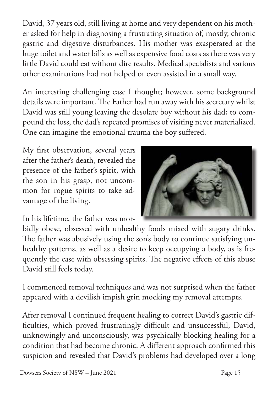David, 37 years old, still living at home and very dependent on his mother asked for help in diagnosing a frustrating situation of, mostly, chronic gastric and digestive disturbances. His mother was exasperated at the huge toilet and water bills as well as expensive food costs as there was very little David could eat without dire results. Medical specialists and various other examinations had not helped or even assisted in a small way.

An interesting challenging case I thought; however, some background details were important. The Father had run away with his secretary whilst David was still young leaving the desolate boy without his dad; to compound the loss, the dad's repeated promises of visiting never materialized. One can imagine the emotional trauma the boy suffered.

My first observation, several years after the father's death, revealed the presence of the father's spirit, with the son in his grasp, not uncommon for rogue spirits to take advantage of the living.

In his lifetime, the father was mor-



bidly obese, obsessed with unhealthy foods mixed with sugary drinks. The father was abusively using the son's body to continue satisfying unhealthy patterns, as well as a desire to keep occupying a body, as is frequently the case with obsessing spirits. The negative effects of this abuse David still feels today.

I commenced removal techniques and was not surprised when the father appeared with a devilish impish grin mocking my removal attempts.

After removal I continued frequent healing to correct David's gastric difficulties, which proved frustratingly difficult and unsuccessful; David, unknowingly and unconsciously, was psychically blocking healing for a condition that had become chronic. A different approach confirmed this suspicion and revealed that David's problems had developed over a long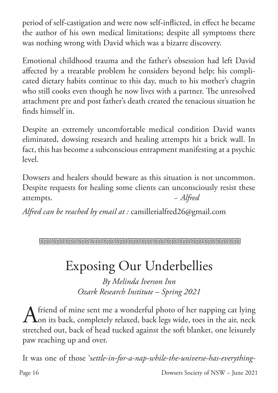period of self-castigation and were now self-inflicted, in effect he became the author of his own medical limitations; despite all symptoms there was nothing wrong with David which was a bizarre discovery.

Emotional childhood trauma and the father's obsession had left David affected by a treatable problem he considers beyond help; his complicated dietary habits continue to this day, much to his mother's chagrin who still cooks even though he now lives with a partner. The unresolved attachment pre and post father's death created the tenacious situation he finds himself in.

Despite an extremely uncomfortable medical condition David wants eliminated, dowsing research and healing attempts hit a brick wall. In fact, this has become a subconscious entrapment manifesting at a psychic level.

Dowsers and healers should beware as this situation is not uncommon. Despite requests for healing some clients can unconsciously resist these attempts. *~ Alfred*

*Alfred can be reached by email at :* camillerialfred26@gmail.com

Geberalde en antigen de la contrata la partida de la contrata del altre del contrato de la contrato del contra

### Exposing Our Underbellies

*By Melinda Iverson Inn Ozark Research Institute – Spring 2021*

A friend of mine sent me a wonderful photo of her napping cat lying<br>
on its back, completely relaxed, back legs wide, toes in the air, neck on its back, completely relaxed, back legs wide, toes in the air, neck stretched out, back of head tucked against the soft blanket, one leisurely paw reaching up and over.

It was one of those 's*ettle-in-for-a-nap-while-the-universe-has-everything-*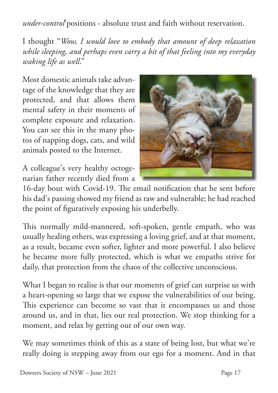*under-control*'positions - absolute trust and faith without reservation.

I thought "*Wow, I would love to embody that amount of deep relaxation while sleeping, and perhaps even carry a bit of that feeling into my everyday waking life as well*."

Most domestic animals take advantage of the knowledge that they are protected, and that allows them mental safety in their moments of complete exposure and relaxation. You can see this in the many photos of napping dogs, cats, and wild animals posted to the Internet.

A colleague's very healthy octogenarian father recently died from a



16-day bout with Covid-19. The email notification that he sent before his dad's passing showed my friend as raw and vulnerable; he had reached the point of figuratively exposing his underbelly.

This normally mild-mannered, soft-spoken, gentle empath, who was usually healing others, was expressing a loving grief, and at that moment, as a result, became even softer, lighter and more powerful. I also believe he became more fully protected, which is what we empaths strive for daily, that protection from the chaos of the collective unconscious.

What I began to realise is that our moments of grief can surprise us with a heart-opening so large that we expose the vulnerabilities of our being. This experience can become so vast that it encompasses us and those around us, and in that, lies our real protection. We stop thinking for a moment, and relax by getting out of our own way.

We may sometimes think of this as a state of being lost, but what we're really doing is stepping away from our ego for a moment. And in that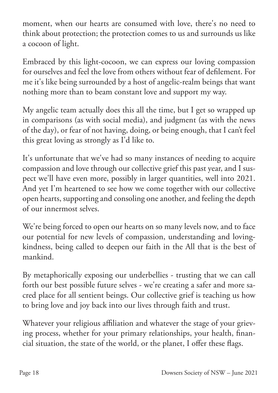moment, when our hearts are consumed with love, there's no need to think about protection; the protection comes to us and surrounds us like a cocoon of light.

Embraced by this light-cocoon, we can express our loving compassion for ourselves and feel the love from others without fear of defilement. For me it's like being surrounded by a host of angelic-realm beings that want nothing more than to beam constant love and support my way.

My angelic team actually does this all the time, but I get so wrapped up in comparisons (as with social media), and judgment (as with the news of the day), or fear of not having, doing, or being enough, that I can't feel this great loving as strongly as I'd like to.

It's unfortunate that we've had so many instances of needing to acquire compassion and love through our collective grief this past year, and I suspect we'll have even more, possibly in larger quantities, well into 2021. And yet I'm heartened to see how we come together with our collective open hearts, supporting and consoling one another, and feeling the depth of our innermost selves.

We're being forced to open our hearts on so many levels now, and to face our potential for new levels of compassion, understanding and lovingkindness, being called to deepen our faith in the All that is the best of mankind.

By metaphorically exposing our underbellies - trusting that we can call forth our best possible future selves - we're creating a safer and more sacred place for all sentient beings. Our collective grief is teaching us how to bring love and joy back into our lives through faith and trust.

Whatever your religious affiliation and whatever the stage of your grieving process, whether for your primary relationships, your health, financial situation, the state of the world, or the planet, I offer these flags.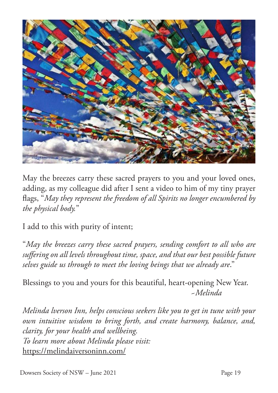

May the breezes carry these sacred prayers to you and your loved ones, adding, as my colleague did after I sent a video to him of my tiny prayer flags, "*May they represent the freedom of all Spirits no longer encumbered by the physical body.*"

I add to this with purity of intent;

"*May the breezes carry these sacred prayers, sending comfort to all who are suffering on all levels throughout time, space, and that our best possible future selves guide us through to meet the loving beings that we already are*."

Blessings to you and yours for this beautiful, heart-opening New Year.  *~Melinda*

*Melinda lverson Inn, helps conscious seekers like you to get in tune with your own intuitive wisdom to bring forth, and create harmony, balance, and, clarity, for your health and wellbeing. To learn more about Melinda please visit:* https://melindaiversoninn.com/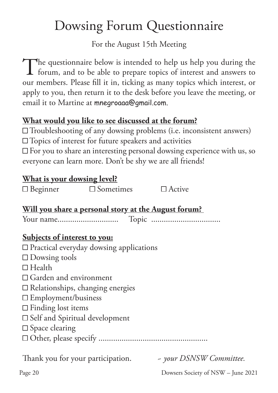### Dowsing Forum Questionnaire

For the August 15th Meeting

The questionnaire below is intended to help us help you during the forum, and to be able to prepare topics of interest and answers to forum, and to be able to prepare topics of interest and answers to our members. Please fill it in, ticking as many topics which interest, or apply to you, then return it to the desk before you leave the meeting, or email it to Martine at mnegroaaa@gmail.com.

#### **What would you like to see discussed at the forum?**

 $\square$  Troubleshooting of any dowsing problems (i.e. inconsistent answers)

 $\square$  Topics of interest for future speakers and activities

 $\square$  For you to share an interesting personal dowsing experience with us, so everyone can learn more. Don't be shy we are all friends!

#### **What is your dowsing level?**

| $\Box$ Beginner                                             | $\square$ Sometimes $\square$ Active |                         |  |
|-------------------------------------------------------------|--------------------------------------|-------------------------|--|
| <u>Will you share a personal story at the August forum?</u> |                                      |                         |  |
|                                                             |                                      |                         |  |
| Subjects of interest to you:                                |                                      |                         |  |
| $\Box$ Practical everyday dowsing applications              |                                      |                         |  |
| $\square$ Dowsing tools                                     |                                      |                         |  |
| $\Box$ Health                                               |                                      |                         |  |
| $\Box$ Garden and environment                               |                                      |                         |  |
| $\square$ Relationships, changing energies                  |                                      |                         |  |
| $\square$ Employment/business                               |                                      |                         |  |
| $\Box$ Finding lost items                                   |                                      |                         |  |
| $\Box$ Self and Spiritual development                       |                                      |                         |  |
| $\square$ Space clearing                                    |                                      |                         |  |
|                                                             |                                      |                         |  |
| Thank you for your participation.                           |                                      | - your DSNSW Committee. |  |

Page 20 Dowsers Society of NSW – June 2021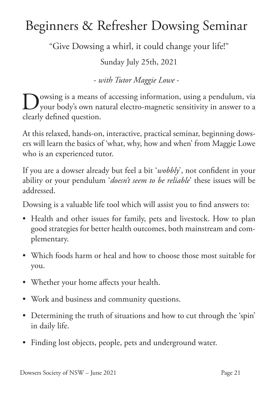### Beginners & Refresher Dowsing Seminar

"Give Dowsing a whirl, it could change your life!"

Sunday July 25th, 2021

*- with Tutor Maggie Lowe* -

Owsing is a means of accessing information, using a pendulum, via your body's own natural electro-magnetic sensitivity in answer to a clearly defined question.

At this relaxed, hands-on, interactive, practical seminar, beginning dowsers will learn the basics of 'what, why, how and when' from Maggie Lowe who is an experienced tutor.

If you are a dowser already but feel a bit '*wobbly*', not confident in your ability or your pendulum '*doesn't seem to be reliable*' these issues will be addressed.

Dowsing is a valuable life tool which will assist you to find answers to:

- Health and other issues for family, pets and livestock. How to plan good strategies for better health outcomes, both mainstream and complementary.
- • Which foods harm or heal and how to choose those most suitable for you.
- Whether your home affects your health.
- • Work and business and community questions.
- Determining the truth of situations and how to cut through the 'spin' in daily life.
- Finding lost objects, people, pets and underground water.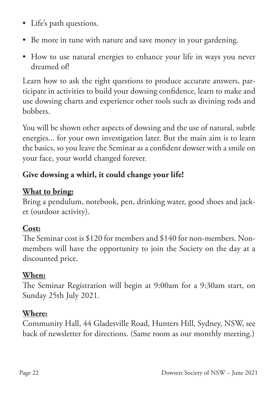- • Life's path questions.
- Be more in tune with nature and save money in your gardening.
- How to use natural energies to enhance your life in ways you never dreamed of!

Learn how to ask the right questions to produce accurate answers, participate in activities to build your dowsing confidence, learn to make and use dowsing charts and experience other tools such as divining rods and bobbers.

You will be shown other aspects of dowsing and the use of natural, subtle energies... for your own investigation later. But the main aim is to learn the basics, so you leave the Seminar as a confident dowser with a smile on your face, your world changed forever.

#### **Give dowsing a whirl, it could change your life!**

#### **What to bring:**

Bring a pendulum, notebook, pen, drinking water, good shoes and jacket (outdoor activity).

#### **Cost:**

The Seminar cost is \$120 for members and \$140 for non-members. Nonmembers will have the opportunity to join the Society on the day at a discounted price.

#### **When:**

The Seminar Registration will begin at 9:00am for a 9:30am start, on Sunday 25th July 2021.

#### **Where:**

Community Hall, 44 Gladesville Road, Hunters Hill, Sydney, NSW, see back of newsletter for directions. (Same room as our monthly meeting.)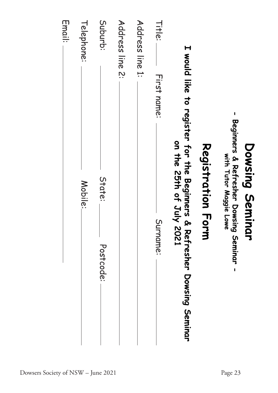|                                              | Beginners & Refresher Dowsing Seminar<br>Dowsing Semin<br>with Tutor Maggie Lowe | <b>Qr</b><br>$\pmb{\mathsf{I}}$ |
|----------------------------------------------|----------------------------------------------------------------------------------|---------------------------------|
|                                              | Registration For                                                                 | ヺ゙                              |
| I would like to register for the Beginners & | on the 25th of July 2021                                                         | Refresher Dowsing Seminar       |
| Title:<br>First name:                        |                                                                                  | Surname:                        |
| Address line 1:                              |                                                                                  |                                 |
| Address line 2:                              |                                                                                  |                                 |
| Suburb:                                      | State:                                                                           | Postcode:                       |
| Telephone:                                   | Mobile:                                                                          |                                 |
| Email:                                       |                                                                                  |                                 |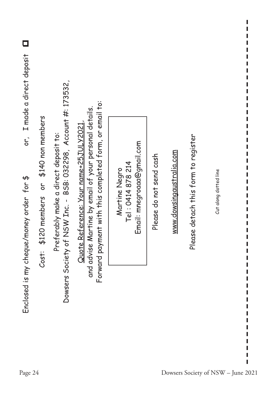| or, I made a direct deposit       |                                                              |                                                                                                      |                                                                                                                                                                   |                                                                  |                         |                          |                                     |                                    |  |
|-----------------------------------|--------------------------------------------------------------|------------------------------------------------------------------------------------------------------|-------------------------------------------------------------------------------------------------------------------------------------------------------------------|------------------------------------------------------------------|-------------------------|--------------------------|-------------------------------------|------------------------------------|--|
| money order for \$                | or \$140 non members<br>20 members<br>$\frac{4}{5}$<br>Cost: | NSW Inc. - BSB: 032298, Account #: 173532,<br>erably make a direct deposit to:<br>Pref<br>Society of | Forward payment with this completed form, or email to:<br><u>Quote Reference: Your name+25JULY2021</u> ,<br>and advise Martine by email of your personal details. | Email: mnegroaaa@gmail.com<br>Tel: 0414 878 214<br>Martine Negro | Please do not send cash | www.dowsingaustralia.com | Please detach this form to register | Cut along dotted line              |  |
| Enclosed is my cheque/<br>Page 24 |                                                              | Dowsers                                                                                              |                                                                                                                                                                   |                                                                  |                         |                          |                                     | Dowsers Society of NSW - June 2021 |  |

I I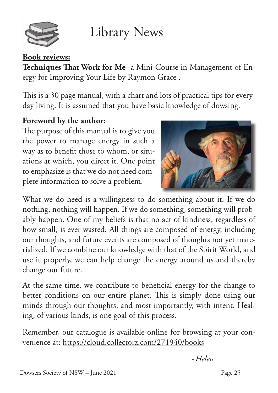

Library News

#### **Book reviews:**

**Techniques That Work for Me**- a Mini-Course in Management of Energy for Improving Your Life by Raymon Grace .

This is a 30 page manual, with a chart and lots of practical tips for everyday living. It is assumed that you have basic knowledge of dowsing.

#### **Foreword by the author:**

The purpose of this manual is to give you the power to manage energy in such a way as to benefit those to whom, or situations at which, you direct it. One point to emphasize is that we do not need complete information to solve a problem.



What we do need is a willingness to do something about it. If we do nothing, nothing will happen. If we do something, something will probably happen. One of my beliefs is that no act of kindness, regardless of how small, is ever wasted. All things are composed of energy, including our thoughts, and future events are composed of thoughts not yet materialized. If we combine our knowledge with that of the Spirit World, and use it properly, we can help change the energy around us and thereby change our future.

At the same time, we contribute to beneficial energy for the change to better conditions on our entire planet. This is simply done using our minds through our thoughts, and most importantly, with intent. Healing, of various kinds, is one goal of this process.

Remember, our catalogue is available online for browsing at your convenience at: https://cloud.collectorz.com/271940/books

*~Helen*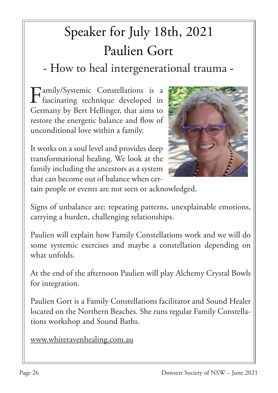## Speaker for July 18th, 2021 Paulien Gort

- How to heal intergenerational trauma -

Family/Systemic Constellations is a  $\mathbf{I}$  fascinating technique developed in Germany by Bert Hellinger, that aims to restore the energetic balance and flow of unconditional love within a family.

It works on a soul level and provides deep transformational healing. We look at the family including the ancestors as a system that can become out of balance when cer-



tain people or events are not seen or acknowledged.

Signs of unbalance are: repeating patterns, unexplainable emotions, carrying a burden, challenging relationships.

Paulien will explain how Family Constellations work and we will do some systemic exercises and maybe a constellation depending on what unfolds.

At the end of the afternoon Paulien will play Alchemy Crystal Bowls for integration.

Paulien Gort is a Family Constellations facilitator and Sound Healer located on the Northern Beaches. She runs regular Family Constellations workshop and Sound Baths.

www.whiteravenhealing.com.au